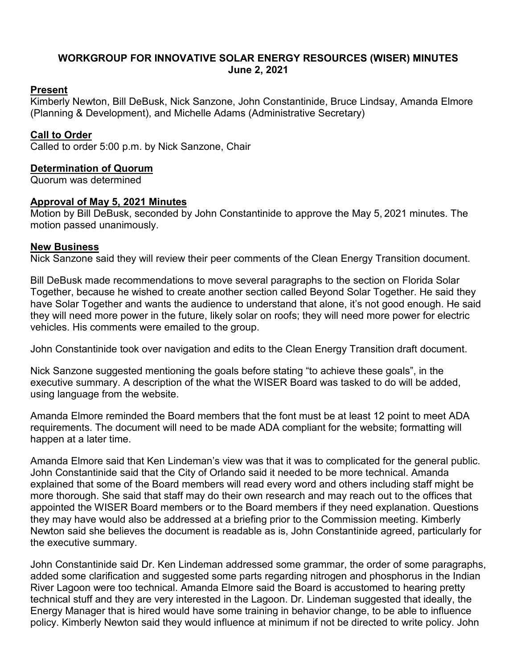# **WORKGROUP FOR INNOVATIVE SOLAR ENERGY RESOURCES (WISER) MINUTES June 2, 2021**

# **Present**

Kimberly Newton, Bill DeBusk, Nick Sanzone, John Constantinide, Bruce Lindsay, Amanda Elmore (Planning & Development), and Michelle Adams (Administrative Secretary)

# **Call to Order**

Called to order 5:00 p.m. by Nick Sanzone, Chair

# **Determination of Quorum**

Quorum was determined

# **Approval of May 5, 2021 Minutes**

Motion by Bill DeBusk, seconded by John Constantinide to approve the May 5, 2021 minutes. The motion passed unanimously.

# **New Business**

Nick Sanzone said they will review their peer comments of the Clean Energy Transition document.

Bill DeBusk made recommendations to move several paragraphs to the section on Florida Solar Together, because he wished to create another section called Beyond Solar Together. He said they have Solar Together and wants the audience to understand that alone, it's not good enough. He said they will need more power in the future, likely solar on roofs; they will need more power for electric vehicles. His comments were emailed to the group.

John Constantinide took over navigation and edits to the Clean Energy Transition draft document.

Nick Sanzone suggested mentioning the goals before stating "to achieve these goals", in the executive summary. A description of the what the WISER Board was tasked to do will be added, using language from the website.

Amanda Elmore reminded the Board members that the font must be at least 12 point to meet ADA requirements. The document will need to be made ADA compliant for the website; formatting will happen at a later time.

Amanda Elmore said that Ken Lindeman's view was that it was to complicated for the general public. John Constantinide said that the City of Orlando said it needed to be more technical. Amanda explained that some of the Board members will read every word and others including staff might be more thorough. She said that staff may do their own research and may reach out to the offices that appointed the WISER Board members or to the Board members if they need explanation. Questions they may have would also be addressed at a briefing prior to the Commission meeting. Kimberly Newton said she believes the document is readable as is, John Constantinide agreed, particularly for the executive summary.

John Constantinide said Dr. Ken Lindeman addressed some grammar, the order of some paragraphs, added some clarification and suggested some parts regarding nitrogen and phosphorus in the Indian River Lagoon were too technical. Amanda Elmore said the Board is accustomed to hearing pretty technical stuff and they are very interested in the Lagoon. Dr. Lindeman suggested that ideally, the Energy Manager that is hired would have some training in behavior change, to be able to influence policy. Kimberly Newton said they would influence at minimum if not be directed to write policy. John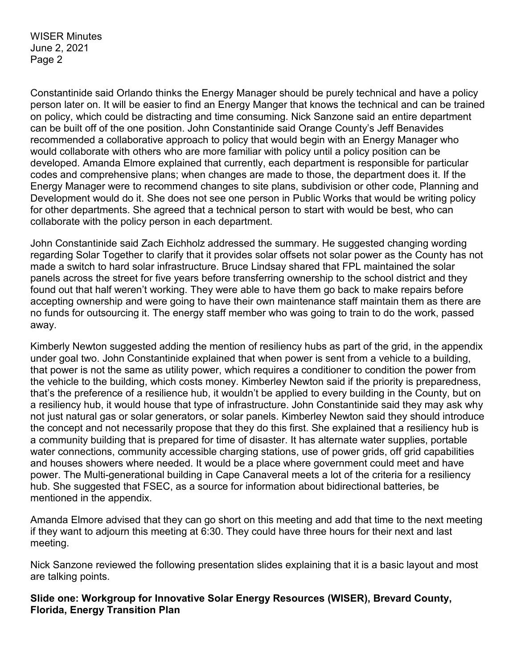WISER Minutes June 2, 2021 Page 2

Constantinide said Orlando thinks the Energy Manager should be purely technical and have a policy person later on. It will be easier to find an Energy Manger that knows the technical and can be trained on policy, which could be distracting and time consuming. Nick Sanzone said an entire department can be built off of the one position. John Constantinide said Orange County's Jeff Benavides recommended a collaborative approach to policy that would begin with an Energy Manager who would collaborate with others who are more familiar with policy until a policy position can be developed. Amanda Elmore explained that currently, each department is responsible for particular codes and comprehensive plans; when changes are made to those, the department does it. If the Energy Manager were to recommend changes to site plans, subdivision or other code, Planning and Development would do it. She does not see one person in Public Works that would be writing policy for other departments. She agreed that a technical person to start with would be best, who can collaborate with the policy person in each department.

John Constantinide said Zach Eichholz addressed the summary. He suggested changing wording regarding Solar Together to clarify that it provides solar offsets not solar power as the County has not made a switch to hard solar infrastructure. Bruce Lindsay shared that FPL maintained the solar panels across the street for five years before transferring ownership to the school district and they found out that half weren't working. They were able to have them go back to make repairs before accepting ownership and were going to have their own maintenance staff maintain them as there are no funds for outsourcing it. The energy staff member who was going to train to do the work, passed away.

Kimberly Newton suggested adding the mention of resiliency hubs as part of the grid, in the appendix under goal two. John Constantinide explained that when power is sent from a vehicle to a building, that power is not the same as utility power, which requires a conditioner to condition the power from the vehicle to the building, which costs money. Kimberley Newton said if the priority is preparedness, that's the preference of a resilience hub, it wouldn't be applied to every building in the County, but on a resiliency hub, it would house that type of infrastructure. John Constantinide said they may ask why not just natural gas or solar generators, or solar panels. Kimberley Newton said they should introduce the concept and not necessarily propose that they do this first. She explained that a resiliency hub is a community building that is prepared for time of disaster. It has alternate water supplies, portable water connections, community accessible charging stations, use of power grids, off grid capabilities and houses showers where needed. It would be a place where government could meet and have power. The Multi-generational building in Cape Canaveral meets a lot of the criteria for a resiliency hub. She suggested that FSEC, as a source for information about bidirectional batteries, be mentioned in the appendix.

Amanda Elmore advised that they can go short on this meeting and add that time to the next meeting if they want to adjourn this meeting at 6:30. They could have three hours for their next and last meeting.

Nick Sanzone reviewed the following presentation slides explaining that it is a basic layout and most are talking points.

**Slide one: Workgroup for Innovative Solar Energy Resources (WISER), Brevard County, Florida, Energy Transition Plan**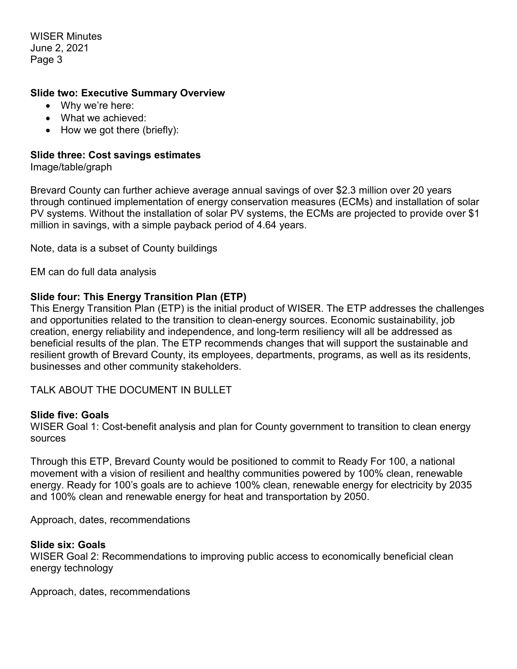WISER Minutes June 2, 2021 Page 3

### **Slide two: Executive Summary Overview**

- Why we're here:
- What we achieved:
- How we got there (briefly):

### **Slide three: Cost savings estimates**

Image/table/graph

Brevard County can further achieve average annual savings of over \$2.3 million over 20 years through continued implementation of energy conservation measures (ECMs) and installation of solar PV systems. Without the installation of solar PV systems, the ECMs are projected to provide over \$1 million in savings, with a simple payback period of 4.64 years.

Note, data is a subset of County buildings

EM can do full data analysis

### **Slide four: This Energy Transition Plan (ETP)**

This Energy Transition Plan (ETP) is the initial product of WISER. The ETP addresses the challenges and opportunities related to the transition to clean-energy sources. Economic sustainability, job creation, energy reliability and independence, and long-term resiliency will all be addressed as beneficial results of the plan. The ETP recommends changes that will support the sustainable and resilient growth of Brevard County, its employees, departments, programs, as well as its residents, businesses and other community stakeholders.

TALK ABOUT THE DOCUMENT IN BULLET

#### **Slide five: Goals**

WISER Goal 1: Cost-benefit analysis and plan for County government to transition to clean energy sources

Through this ETP, Brevard County would be positioned to commit to Ready For 100, a national movement with a vision of resilient and healthy communities powered by 100% clean, renewable energy. Ready for 100's goals are to achieve 100% clean, renewable energy for electricity by 2035 and 100% clean and renewable energy for heat and transportation by 2050.

Approach, dates, recommendations

#### **Slide six: Goals**

WISER Goal 2: Recommendations to improving public access to economically beneficial clean energy technology

Approach, dates, recommendations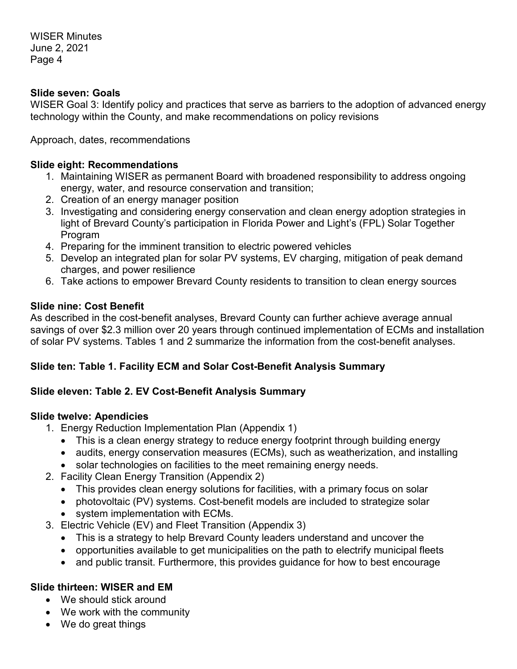# **Slide seven: Goals**

WISER Goal 3: Identify policy and practices that serve as barriers to the adoption of advanced energy technology within the County, and make recommendations on policy revisions

Approach, dates, recommendations

# **Slide eight: Recommendations**

- 1. Maintaining WISER as permanent Board with broadened responsibility to address ongoing energy, water, and resource conservation and transition;
- 2. Creation of an energy manager position
- 3. Investigating and considering energy conservation and clean energy adoption strategies in light of Brevard County's participation in Florida Power and Light's (FPL) Solar Together Program
- 4. Preparing for the imminent transition to electric powered vehicles
- 5. Develop an integrated plan for solar PV systems, EV charging, mitigation of peak demand charges, and power resilience
- 6. Take actions to empower Brevard County residents to transition to clean energy sources

# **Slide nine: Cost Benefit**

As described in the cost-benefit analyses, Brevard County can further achieve average annual savings of over \$2.3 million over 20 years through continued implementation of ECMs and installation of solar PV systems. Tables 1 and 2 summarize the information from the cost-benefit analyses.

# **Slide ten: Table 1. Facility ECM and Solar Cost-Benefit Analysis Summary**

# **Slide eleven: Table 2. EV Cost-Benefit Analysis Summary**

# **Slide twelve: Apendicies**

- 1. Energy Reduction Implementation Plan (Appendix 1)
	- This is a clean energy strategy to reduce energy footprint through building energy
	- audits, energy conservation measures (ECMs), such as weatherization, and installing
	- solar technologies on facilities to the meet remaining energy needs.
- 2. Facility Clean Energy Transition (Appendix 2)
	- This provides clean energy solutions for facilities, with a primary focus on solar
	- photovoltaic (PV) systems. Cost-benefit models are included to strategize solar
	- system implementation with ECMs.
- 3. Electric Vehicle (EV) and Fleet Transition (Appendix 3)
	- This is a strategy to help Brevard County leaders understand and uncover the
	- opportunities available to get municipalities on the path to electrify municipal fleets
	- and public transit. Furthermore, this provides quidance for how to best encourage

# **Slide thirteen: WISER and EM**

- We should stick around
- We work with the community
- We do great things